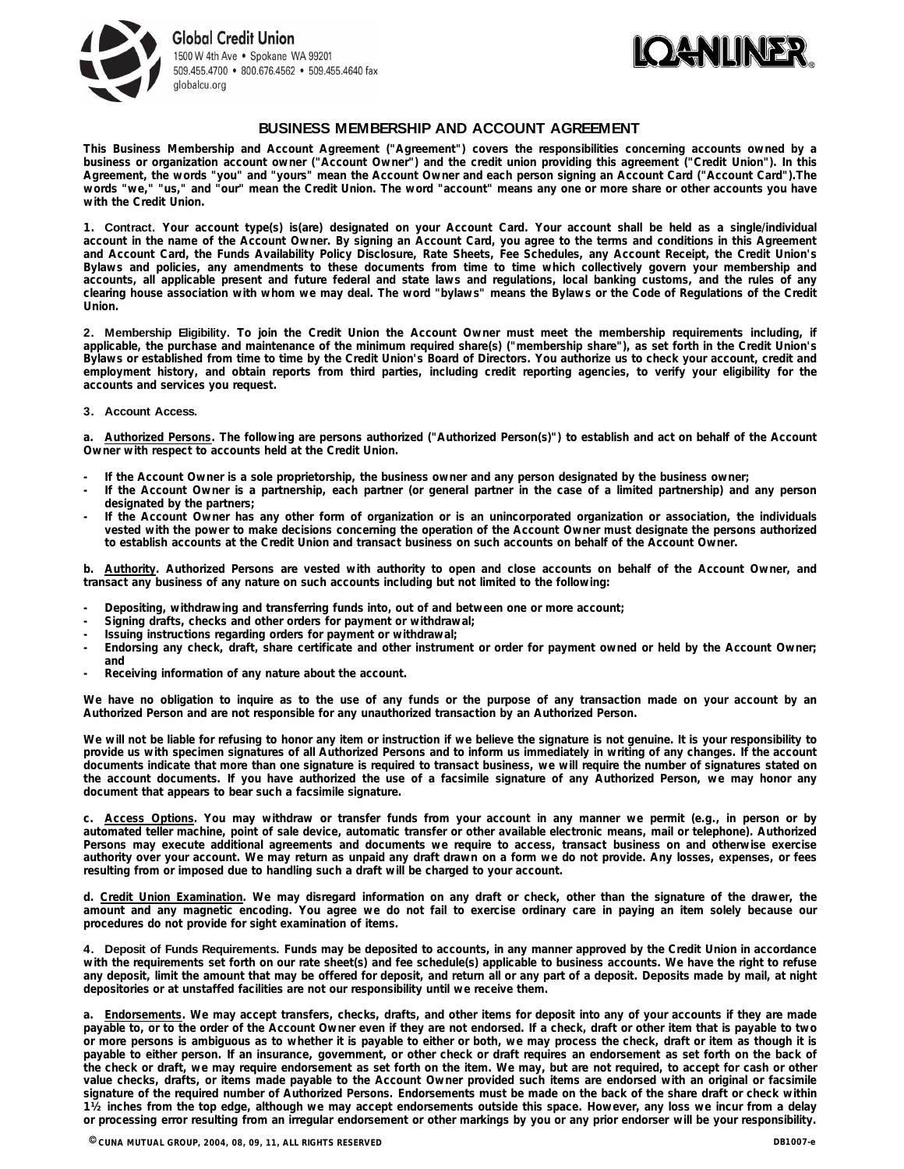



### **BUSINESS MEMBERSHIP AND ACCOUNT AGREEMENT**

**This Business Membership and Account Agreement ("Agreement") covers the responsibilities concerning accounts owned by a** business or organization account owner ("Account Owner") and the credit union providing this agreement ("Credit Union"). In this Agreement, the words "you" and "yours" mean the Account Owner and each person signing an Account Card ("Account Card"). The words "we," "us," and "our" mean the Credit Union. The word "account" means any one or more share or other accounts you have **with the Credit Union.**

1. Contract. Your account type(s) is(are) designated on your Account Card. Your account shall be held as a single/individual account in the name of the Account Owner. By signing an Account Card, you agree to the terms and conditions in this Agreement and Account Card, the Funds Availability Policy Disclosure, Rate Sheets, Fee Schedules, any Account Receipt, the Credit Union's Bylaws and policies, any amendments to these documents from time to time which collectively govern your membership and accounts, all applicable present and future federal and state laws and requlations, local banking customs, and the rules of any clearing house association with whom we may deal. The word "bylaws" means the Bylaws or the Code of Regulations of the Credit **Union.**

2. Membership Eligibility. To join the Credit Union the Account Owner must meet the membership requirements including, if applicable, the purchase and maintenance of the minimum required share(s) ("membership share"), as set forth in the Credit Union's Bylaws or established from time to time by the Credit Union's Board of Directors. You authorize us to check your account, credit and employment history, and obtain reports from third parties, including credit reporting agencies, to verify your eligibility for the **accounts and services you request.**

#### **3. Account Access.**

a. Authorized Persons. The following are persons authorized ("Authorized Person(s)") to establish and act on behalf of the Account **Owner with respect to accounts held at the Credit Union.** 

- If the Account Owner is a sole proprietorship, the business owner and any person designated by the business owner;
- If the Account Owner is a partnership, each partner (or general partner in the case of a limited partnership) and any person **designated by the partners;**
- If the Account Owner has any other form of organization or is an unincorporated organization or association, the individuals vested with the power to make decisions concerning the operation of the Account Owner must designate the persons authorized to establish accounts at the Credit Union and transact business on such accounts on behalf of the Account Owner.

b. Authority. Authorized Persons are vested with authority to open and close accounts on behalf of the Account Owner, and **transact any business of any nature on such accounts including but not limited to the following:** 

- **- Depositing, withdrawing and transferring funds into, out of and between one or more account;**
- **- Signing drafts, checks and other orders for payment or withdrawal;**
- **- Issuing instructions regarding orders for payment or withdrawal;**
- Endorsing any check, draft, share certificate and other instrument or order for payment owned or held by the Account Owner; **and**
- **- Receiving information of any nature about the account.**

We have no obligation to inquire as to the use of any funds or the purpose of any transaction made on your account by an **Authorized Person and are not responsible for any unauthorized transaction by an Authorized Person.** 

We will not be liable for refusing to honor any item or instruction if we believe the signature is not genuine. It is your responsibility to provide us with specimen signatures of all Authorized Persons and to inform us immediately in writing of any changes. If the account documents indicate that more than one signature is required to transact business, we will require the number of signatures stated on the account documents. If you have authorized the use of a facsimile signature of any Authorized Person, we may honor any **document that appears to bear such a facsimile signature.** 

c. Access Options. You may withdraw or transfer funds from your account in any manner we permit (e.g., in person or by automated teller machine, point of sale device, automatic transfer or other available electronic means, mail or telephone). Authorized Persons may execute additional agreements and documents we require to access, transact business on and otherwise exercise authority over your account. We may return as unpaid any draft drawn on a form we do not provide. Any losses, expenses, or fees **resulting from or imposed due to handling such a draft will be charged to your account.** 

d. Credit Union Examination. We may disregard information on any draft or check, other than the signature of the drawer, the amount and any magnetic encoding. You agree we do not fail to exercise ordinary care in paying an item solely because our **procedures do not provide for sight examination of items.** 

4. Deposit of Funds Requirements. Funds may be deposited to accounts, in any manner approved by the Credit Union in accordance with the requirements set forth on our rate sheet(s) and fee schedule(s) applicable to business accounts. We have the right to refuse any deposit, limit the amount that may be offered for deposit, and return all or any part of a deposit. Deposits made by mail, at night **depositories or at unstaffed facilities are not our responsibility until we receive them.** 

a. Endorsements. We may accept transfers, checks, drafts, and other items for deposit into any of your accounts if they are made payable to, or to the order of the Account Owner even if they are not endorsed. If a check, draft or other item that is payable to two or more persons is ambiguous as to whether it is payable to either or both, we may process the check, draft or item as though it is payable to either person. If an insurance, government, or other check or draft requires an endorsement as set forth on the back of the check or draft, we may require endorsement as set forth on the item. We may, but are not required, to accept for cash or other value checks, drafts, or items made payable to the Account Owner provided such items are endorsed with an original or facsimile signature of the required number of Authorized Persons. Endorsements must be made on the back of the share draft or check within 1½ inches from the top edge, although we may accept endorsements outside this space. However, any loss we incur from a delay or processing error resulting from an irregular endorsement or other markings by you or any prior endorser will be your responsibility.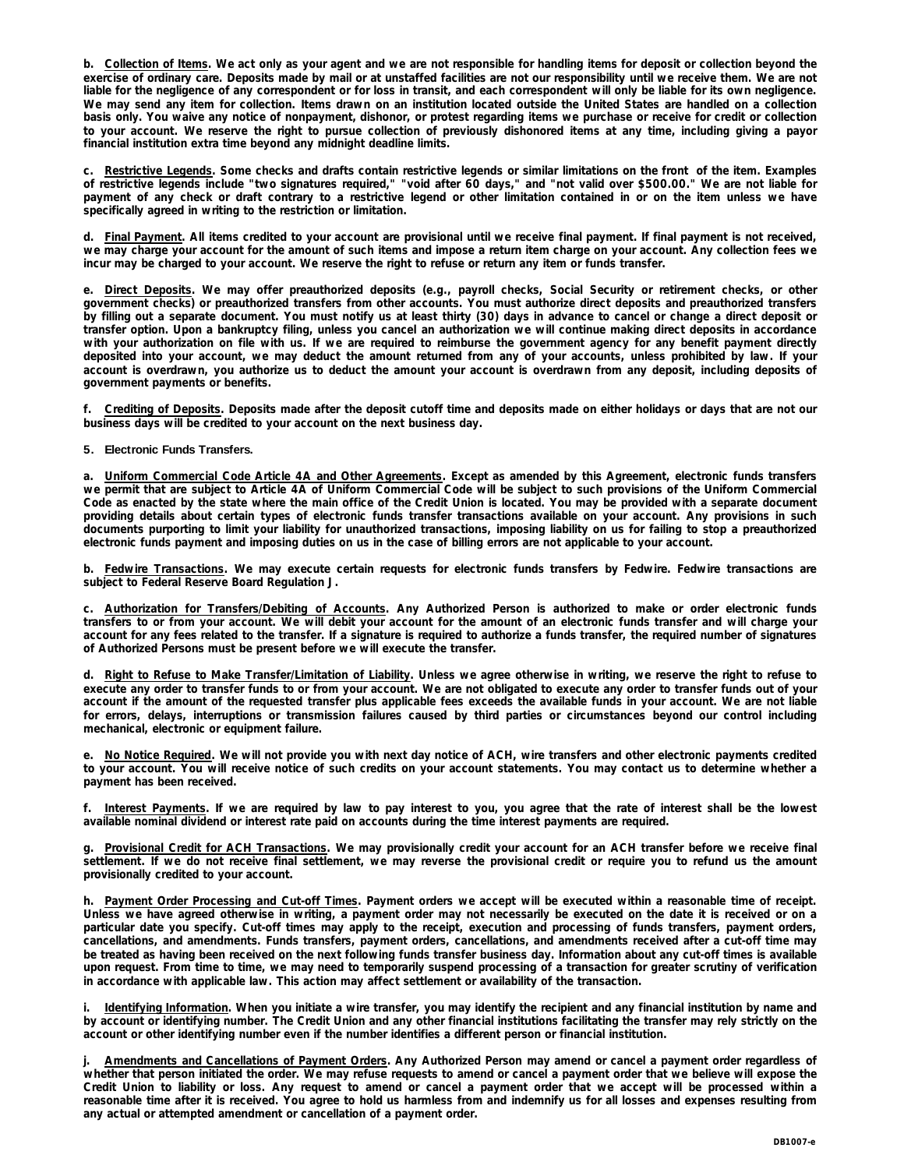b. Collection of Items. We act only as your agent and we are not responsible for handling items for deposit or collection beyond the exercise of ordinary care. Deposits made by mail or at unstaffed facilities are not our responsibility until we receive them. We are not liable for the negligence of any correspondent or for loss in transit, and each correspondent will only be liable for its own negligence. We may send any item for collection. Items drawn on an institution located outside the United States are handled on a collection basis only. You waive any notice of nonpayment, dishonor, or protest regarding items we purchase or receive for credit or collection to your account. We reserve the right to pursue collection of previously dishonored items at any time, including giving a payor **financial institution extra time beyond any midnight deadline limits.**

c. Restrictive Legends. Some checks and drafts contain restrictive legends or similar limitations on the front of the item. Examples of restrictive legends include "two signatures required," "void after 60 days," and "not valid over \$500.00." We are not liable for payment of any check or draft contrary to a restrictive legend or other limitation contained in or on the item unless we have **specifically agreed in writing to the restriction or limitation.**

d. Final Payment. All items credited to your account are provisional until we receive final payment. If final payment is not received, we may charge your account for the amount of such items and impose a return item charge on your account. Any collection fees we **incur may be charged to your account. We reserve the right to refuse or return any item or funds transfer.** 

e. <u>Direct Deposits</u>. We may offer preauthorized deposits (e.g., payroll checks, Social Security or retirement checks, or other government checks) or preauthorized transfers from other accounts. You must authorize direct deposits and preauthorized transfers by filling out a separate document. You must notify us at least thirty (30) days in advance to cancel or change a direct deposit or transfer option. Upon a bankruptcy filing, unless you cancel an authorization we will continue making direct deposits in accordance with your authorization on file with us. If we are required to reimburse the government agency for any benefit payment directly deposited into your account, we may deduct the amount returned from any of your accounts, unless prohibited by law. If your account is overdrawn, you authorize us to deduct the amount your account is overdrawn from any deposit, including deposits of **government payments or benefits.** 

f. Crediting of Deposits. Deposits made after the deposit cutoff time and deposits made on either holidays or days that are not our **business days will be credited to your account on the next business day.** 

### **5. Electronic Funds Transfers.**

a. Uniform Commercial Code Article 4A and Other Agreements. Except as amended by this Agreement, electronic funds transfers we permit that are subject to Article 4A of Uniform Commercial Code will be subject to such provisions of the Uniform Commercial Code as enacted by the state where the main office of the Credit Union is located. You may be provided with a separate document providing details about certain types of electronic funds transfer transactions available on your account. Any provisions in such documents purporting to limit your liability for unauthorized transactions, imposing liability on us for failing to stop a preauthorized **electronic funds payment and imposing duties on us in the case of billing errors are not applicable to your account.** 

b. Fedwire Transactions. We may execute certain requests for electronic funds transfers by Fedwire. Fedwire transactions are **subject to Federal Reserve Board Regulation J.** 

c. Authorization for Transfers/Debiting of Accounts. Any Authorized Person is authorized to make or order electronic funds transfers to or from your account. We will debit your account for the amount of an electronic funds transfer and will charge your account for any fees related to the transfer. If a signature is required to authorize a funds transfer, the required number of signatures **of Authorized Persons must be present before we will execute the transfer.** 

d. Right to Refuse to Make Transfer/Limitation of Liability. Unless we agree otherwise in writing, we reserve the right to refuse to execute any order to transfer funds to or from your account. We are not obligated to execute any order to transfer funds out of your account if the amount of the requested transfer plus applicable fees exceeds the available funds in your account. We are not liable for errors, delays, interruptions or transmission failures caused by third parties or circumstances beyond our control including **mechanical, electronic or equipment failure.** 

e. No Notice Required. We will not provide you with next day notice of ACH, wire transfers and other electronic payments credited to your account. You will receive notice of such credits on your account statements. You may contact us to determine whether a **payment has been received.** 

f. Interest Payments. If we are required by law to pay interest to you, you agree that the rate of interest shall be the lowest **available nominal dividend or interest rate paid on accounts during the time interest payments are required.** 

g. Provisional Credit for ACH Transactions. We may provisionally credit your account for an ACH transfer before we receive final settlement. If we do not receive final settlement, we may reverse the provisional credit or require you to refund us the amount **provisionally credited to your account.** 

h. Payment Order Processing and Cut-off Times. Payment orders we accept will be executed within a reasonable time of receipt. Unless we have agreed otherwise in writing, a payment order may not necessarily be executed on the date it is received or on a particular date you specify. Cut-off times may apply to the receipt, execution and processing of funds transfers, payment orders, cancellations, and amendments. Funds transfers, payment orders, cancellations, and amendments received after a cut-off time may be treated as having been received on the next following funds transfer business day. Information about any cut-off times is available upon request. From time to time, we may need to temporarily suspend processing of a transaction for greater scrutiny of verification **in accordance with applicable law. This action may affect settlement or availability of the transaction.**

i. Identifying Information. When you initiate a wire transfer, you may identify the recipient and any financial institution by name and by account or identifying number. The Credit Union and any other financial institutions facilitating the transfer may rely strictly on the **account or other identifying number even if the number identifies a different person or financial institution.** 

Amendments and Cancellations of Payment Orders. Any Authorized Person may amend or cancel a payment order regardless of whether that person initiated the order. We may refuse requests to amend or cancel a payment order that we believe will expose the Credit Union to liability or loss. Any request to amend or cancel a payment order that we accept will be processed within a reasonable time after it is received. You agree to hold us harmless from and indemnify us for all losses and expenses resulting from **any actual or attempted amendment or cancellation of a payment order.**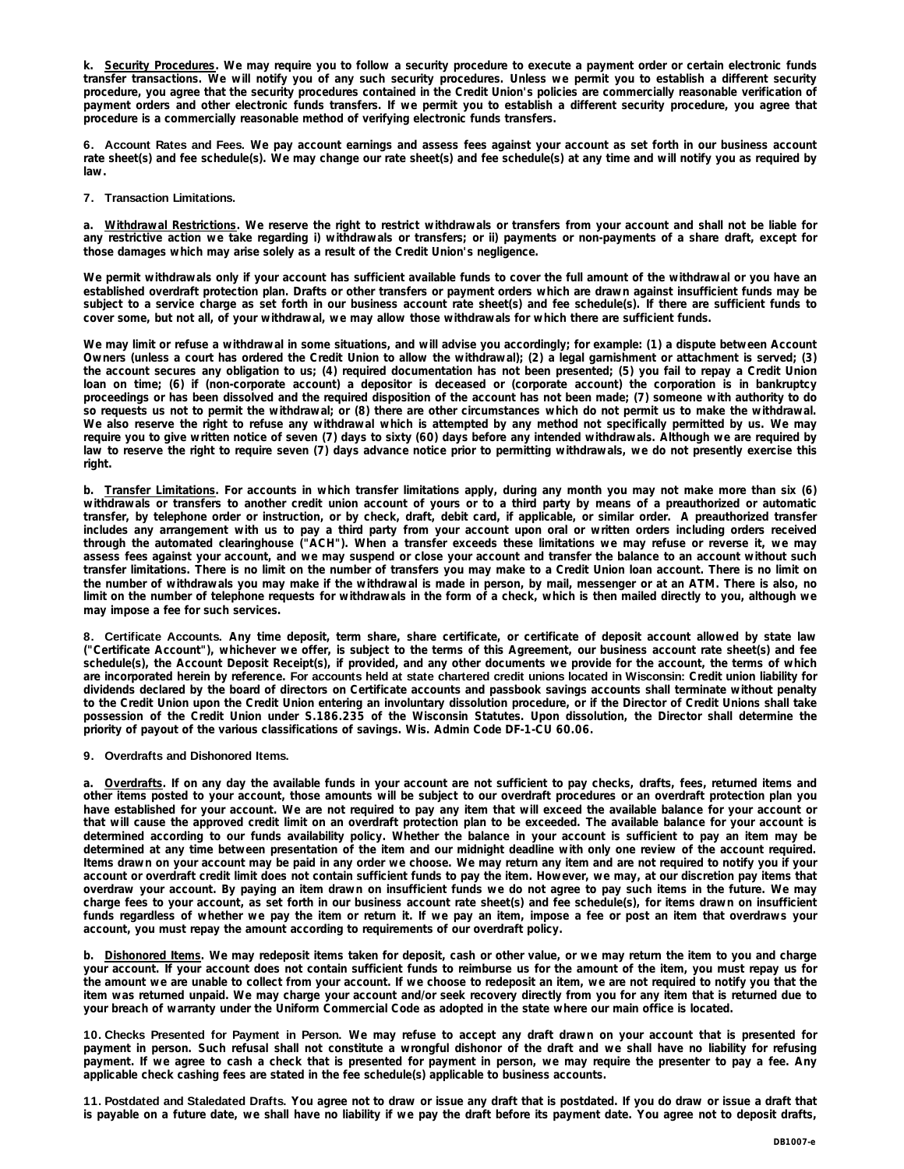k. Security Procedures. We may require you to follow a security procedure to execute a payment order or certain electronic funds transfer transactions. We will notify you of any such security procedures. Unless we permit you to establish a different security procedure, you agree that the security procedures contained in the Credit Union's policies are commercially reasonable verification of payment orders and other electronic funds transfers. If we permit you to establish a different security procedure, you agree that **procedure is a commercially reasonable method of verifying electronic funds transfers.** 

6. Account Rates and Fees. We pay account earnings and assess fees against your account as set forth in our business account rate sheet(s) and fee schedule(s). We may change our rate sheet(s) and fee schedule(s) at any time and will notify you as required by **law.** 

#### **7. Transaction Limitations.**

a. Withdrawal Restrictions. We reserve the right to restrict withdrawals or transfers from your account and shall not be liable for any restrictive action we take regarding i) withdrawals or transfers; or ii) payments or non-payments of a share draft, except for **those damages which may arise solely as a result of the Credit Union's negligence.** 

We permit withdrawals only if your account has sufficient available funds to cover the full amount of the withdrawal or you have an established overdraft protection plan. Drafts or other transfers or payment orders which are drawn against insufficient funds may be subject to a service charge as set forth in our business account rate sheet(s) and fee schedule(s). If there are sufficient funds to **cover some, but not all, of your withdrawal, we may allow those withdrawals for which there are sufficient funds.** 

We may limit or refuse a withdrawal in some situations, and will advise you accordingly; for example: (1) a dispute between Account Owners (unless a court has ordered the Credit Union to allow the withdrawal); (2) a legal garnishment or attachment is served; (3) the account secures any obligation to us; (4) required documentation has not been presented; (5) you fail to repay a Credit Union loan on time; (6) if (non-corporate account) a depositor is deceased or (corporate account) the corporation is in bankruptcy proceedings or has been dissolved and the required disposition of the account has not been made; (7) someone with authority to do so requests us not to permit the withdrawal; or (8) there are other circumstances which do not permit us to make the withdrawal. We also reserve the right to refuse any withdrawal which is attempted by any method not specifically permitted by us. We may require you to give written notice of seven (7) days to sixty (60) days before any intended withdrawals. Although we are required by law to reserve the right to require seven (7) days advance notice prior to permitting withdrawals, we do not presently exercise this **right.** 

b. Transfer Limitations. For accounts in which transfer limitations apply, during any month you may not make more than six (6) withdrawals or transfers to another credit union account of yours or to a third party by means of a preauthorized or automatic transfer, by telephone order or instruction, or by check, draft, debit card, if applicable, or similar order. A preauthorized transfer includes any arrangement with us to pay a third party from your account upon oral or written orders including orders received through the automated clearinghouse ("ACH"). When a transfer exceeds these limitations we may refuse or reverse it, we may assess fees against your account, and we may suspend or close your account and transfer the balance to an account without such transfer limitations. There is no limit on the number of transfers you may make to a Credit Union loan account. There is no limit on the number of withdrawals you may make if the withdrawal is made in person, by mail, messenger or at an ATM. There is also, no limit on the number of telephone requests for withdrawals in the form of a check, which is then mailed directly to you, although we **may impose a fee for such services.** 

8. Certificate Accounts. Any time deposit, term share, share certificate, or certificate of deposit account allowed by state law ("Certificate Account"), whichever we offer, is subject to the terms of this Agreement, our business account rate sheet(s) and fee schedule(s), the Account Deposit Receipt(s), if provided, and any other documents we provide for the account, the terms of which are incorporated herein by reference. For accounts held at state chartered credit unions located in Wisconsin: Credit union liability for dividends declared by the board of directors on Certificate accounts and passbook savings accounts shall terminate without penalty to the Credit Union upon the Credit Union entering an involuntary dissolution procedure, or if the Director of Credit Unions shall take possession of the Credit Union under S.186.235 of the Wisconsin Statutes. Upon dissolution, the Director shall determine the **priority of payout of the various classifications of savings. Wis. Admin Code DF-1-CU 60.06.**

#### **9. Overdrafts and Dishonored Items.**

a. Overdrafts. If on any day the available funds in your account are not sufficient to pay checks, drafts, fees, returned items and other items posted to your account, those amounts will be subject to our overdraft procedures or an overdraft protection plan you have established for your account. We are not required to pay any item that will exceed the available balance for your account or that will cause the approved credit limit on an overdraft protection plan to be exceeded. The available balance for your account is determined according to our funds availability policy. Whether the balance in your account is sufficient to pay an item may be determined at any time between presentation of the item and our midnight deadline with only one review of the account required. Items drawn on your account may be paid in any order we choose. We may return any item and are not required to notify you if your account or overdraft credit limit does not contain sufficient funds to pay the item. However, we may, at our discretion pay items that overdraw your account. By paying an item drawn on insufficient funds we do not agree to pay such items in the future. We may charge fees to your account, as set forth in our business account rate sheet(s) and fee schedule(s), for items drawn on insufficient funds regardless of whether we pay the item or return it. If we pay an item, impose a fee or post an item that overdraws your **account, you must repay the amount according to requirements of our overdraft policy.** 

b. Dishonored Items. We may redeposit items taken for deposit, cash or other value, or we may return the item to you and charge your account. If your account does not contain sufficient funds to reimburse us for the amount of the item, you must repay us for the amount we are unable to collect from your account. If we choose to redeposit an item, we are not required to notify you that the item was returned unpaid. We may charge your account and/or seek recovery directly from you for any item that is returned due to **your breach of warranty under the Uniform Commercial Code as adopted in the state where our main office is located.** 

10. Checks Presented for Payment in Person. We may refuse to accept any draft drawn on your account that is presented for payment in person. Such refusal shall not constitute a wrongful dishonor of the draft and we shall have no liability for refusing payment. If we agree to cash a check that is presented for payment in person, we may require the presenter to pay a fee. Any **applicable check cashing fees are stated in the fee schedule(s) applicable to business accounts.** 

11. Postdated and Staledated Drafts. You agree not to draw or issue any draft that is postdated. If you do draw or issue a draft that is payable on a future date, we shall have no liability if we pay the draft before its payment date. You agree not to deposit drafts,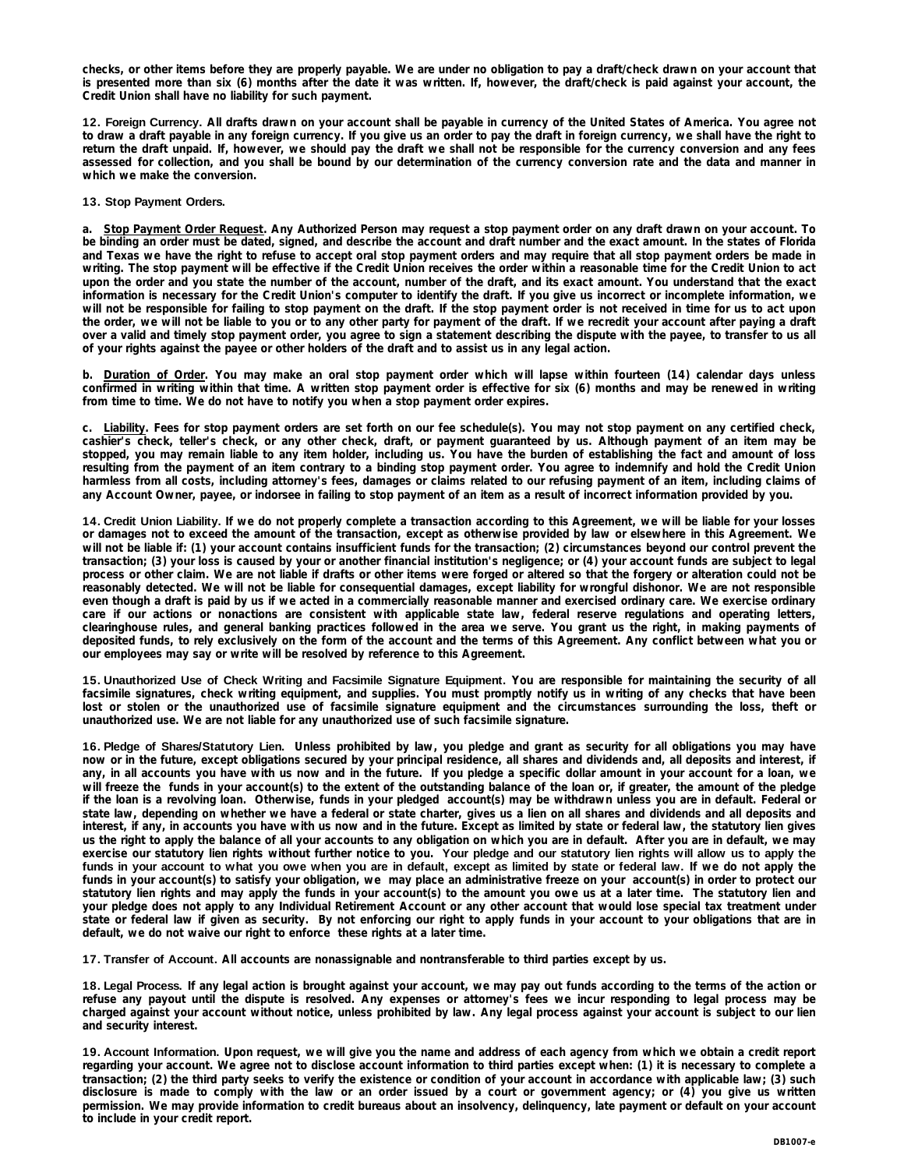checks, or other items before they are properly payable. We are under no obligation to pay a draft/check drawn on your account that is presented more than six (6) months after the date it was written. If, however, the draft/check is paid against your account, the **Credit Union shall have no liability for such payment.**

12. Foreign Currency. All drafts drawn on your account shall be payable in currency of the United States of America. You agree not to draw a draft payable in any foreign currency. If you give us an order to pay the draft in foreign currency, we shall have the right to return the draft unpaid. If, however, we should pay the draft we shall not be responsible for the currency conversion and any fees assessed for collection, and you shall be bound by our determination of the currency conversion rate and the data and manner in **which we make the conversion.** 

### **13. Stop Payment Orders.**

Stop Payment Order Request. Any Authorized Person may request a stop payment order on any draft drawn on your account. To be binding an order must be dated, signed, and describe the account and draft number and the exact amount. In the states of Florida and Texas we have the right to refuse to accept oral stop payment orders and may require that all stop payment orders be made in writing. The stop payment will be effective if the Credit Union receives the order within a reasonable time for the Credit Union to act upon the order and you state the number of the account, number of the draft, and its exact amount. You understand that the exact information is necessary for the Credit Union's computer to identify the draft. If you give us incorrect or incomplete information, we will not be responsible for failing to stop payment on the draft. If the stop payment order is not received in time for us to act upon the order, we will not be liable to you or to any other party for payment of the draft. If we recredit your account after paying a draft over a valid and timely stop payment order, you agree to sign a statement describing the dispute with the payee, to transfer to us all **of your rights against the payee or other holders of the draft and to assist us in any legal action.** 

b. Duration of Order. You may make an oral stop payment order which will lapse within fourteen (14) calendar days unless confirmed in writing within that time. A written stop payment order is effective for six (6) months and may be renewed in writing **from time to time. We do not have to notify you when a stop payment order expires.** 

c. Liability. Fees for stop payment orders are set forth on our fee schedule(s). You may not stop payment on any certified check, cashier's check, teller's check, or any other check, draft, or payment guaranteed by us. Although payment of an item may be stopped, you may remain liable to any item holder, including us. You have the burden of establishing the fact and amount of loss resulting from the payment of an item contrary to a binding stop payment order. You agree to indemnify and hold the Credit Union harmless from all costs, including attorney's fees, damages or claims related to our refusing payment of an item, including claims of **any Account Owner, payee, or indorsee in failing to stop payment of an item as a result of incorrect information provided by you.** 

14. Credit Union Liability. If we do not properly complete a transaction according to this Agreement, we will be liable for your losses or damages not to exceed the amount of the transaction, except as otherwise provided by law or elsewhere in this Agreement. We will not be liable if: (1) your account contains insufficient funds for the transaction; (2) circumstances beyond our control prevent the transaction; (3) your loss is caused by your or another financial institution's negligence; or (4) your account funds are subject to legal process or other claim. We are not liable if drafts or other items were forged or altered so that the forgery or alteration could not be reasonably detected. We will not be liable for consequential damages, except liability for wrongful dishonor. We are not responsible even though a draft is paid by us if we acted in a commercially reasonable manner and exercised ordinary care. We exercise ordinary care if our actions or nonactions are consistent with applicable state law, federal reserve regulations and operating letters, clearinghouse rules, and general banking practices followed in the area we serve. You grant us the right, in making payments of deposited funds, to rely exclusively on the form of the account and the terms of this Agreement. Any conflict between what you or **our employees may say or write will be resolved by reference to this Agreement.** 

15. Unauthorized Use of Check Writing and Facsimile Signature Equipment. You are responsible for maintaining the security of all facsimile signatures, check writing equipment, and supplies. You must promptly notify us in writing of any checks that have been lost or stolen or the unauthorized use of facsimile signature equipment and the circumstances surrounding the loss, theft or **unauthorized use. We are not liable for any unauthorized use of such facsimile signature.** 

16. Pledge of Shares/Statutory Lien. Unless prohibited by law, you pledge and grant as security for all obligations you may have now or in the future, except obligations secured by your principal residence, all shares and dividends and, all deposits and interest, if any, in all accounts you have with us now and in the future. If you pledge a specific dollar amount in your account for a loan, we will freeze the funds in your account(s) to the extent of the outstanding balance of the loan or, if greater, the amount of the pledge if the loan is a revolving loan. Otherwise, funds in your pledged account(s) may be withdrawn unless you are in default. Federal or state law, depending on whether we have a federal or state charter, gives us a lien on all shares and dividends and all deposits and interest, if any, in accounts you have with us now and in the future. Except as limited by state or federal law, the statutory lien gives us the right to apply the balance of all your accounts to any obligation on which you are in default. After you are in default, we may exercise our statutory lien rights without further notice to you. Your pledge and our statutory lien rights will allow us to apply the funds in your account to what you owe when you are in default, except as limited by state or federal law. If we do not apply the funds in your account(s) to satisfy your obligation, we may place an administrative freeze on your account(s) in order to protect our statutory lien rights and may apply the funds in your account(s) to the amount you owe us at a later time. The statutory lien and your pledge does not apply to any Individual Retirement Account or any other account that would lose special tax treatment under state or federal law if given as security. By not enforcing our right to apply funds in your account to your obligations that are in **default, we do not waive our right to enforce these rights at a later time.** 

**17. Transfer of Account. All accounts are nonassignable and nontransferable to third parties except by us.**

18. Legal Process. If any legal action is brought against your account, we may pay out funds according to the terms of the action or refuse any payout until the dispute is resolved. Any expenses or attorney's fees we incur responding to legal process may be charged against your account without notice, unless prohibited by law. Any legal process against your account is subject to our lien **and security interest.** 

**19. Account Information.** Upon request, we will give you the name and address of each agency from which we obtain a credit report regarding your account. We agree not to disclose account information to third parties except when: (1) it is necessary to complete a transaction; (2) the third party seeks to verify the existence or condition of your account in accordance with applicable law; (3) such disclosure is made to comply with the law or an order issued by a court or government agency; or (4) you give us written permission. We may provide information to credit bureaus about an insolvency, delinquency, late payment or default on your account **to include in your credit report.**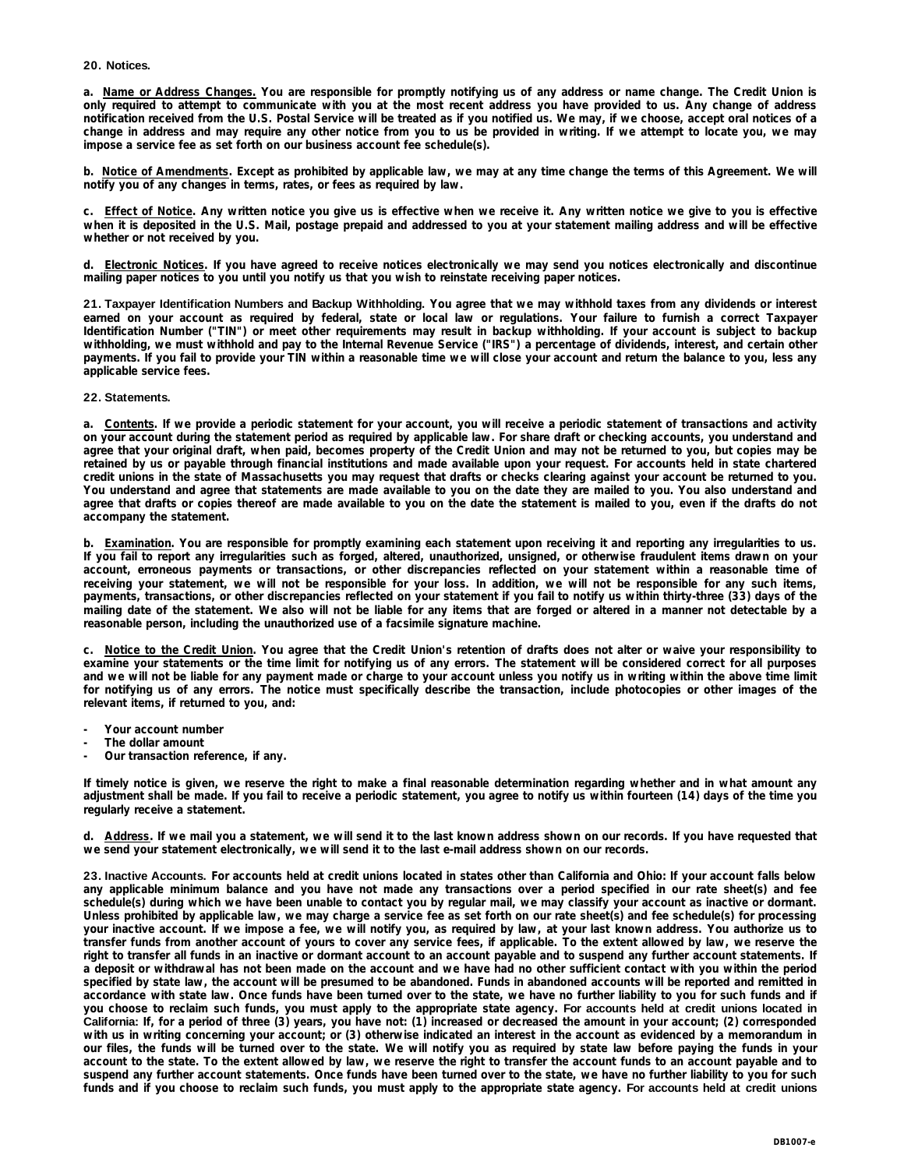### **20. Notices.**

a. Name or Address Changes. You are responsible for promptly notifying us of any address or name change. The Credit Union is only required to attempt to communicate with you at the most recent address you have provided to us. Any change of address notification received from the U.S. Postal Service will be treated as if you notified us. We may, if we choose, accept oral notices of a change in address and may require any other notice from you to us be provided in writing. If we attempt to locate you, we may **impose a service fee as set forth on our business account fee schedule(s).** 

b. Notice of Amendments. Except as prohibited by applicable law, we may at any time change the terms of this Agreement. We will **notify you of any changes in terms, rates, or fees as required by law.** 

c. Effect of Notice. Any written notice you give us is effective when we receive it. Any written notice we give to you is effective when it is deposited in the U.S. Mail, postage prepaid and addressed to you at your statement mailing address and will be effective **whether or not received by you.** 

d. Electronic Notices. If you have agreed to receive notices electronically we may send you notices electronically and discontinue **mailing paper notices to you until you notify us that you wish to reinstate receiving paper notices.**

21. Taxpayer Identification Numbers and Backup Withholding. You agree that we may withhold taxes from any dividends or interest earned on your account as required by federal, state or local law or regulations. Your failure to furnish a correct Taxpayer Identification Number ("TIN") or meet other requirements may result in backup withholding. If your account is subject to backup withholding, we must withhold and pay to the Internal Revenue Service ("IRS") a percentage of dividends, interest, and certain other payments. If you fail to provide your TIN within a reasonable time we will close your account and return the balance to you, less any **applicable service fees.** 

#### **22. Statements.**

a. Contents. If we provide a periodic statement for your account, you will receive a periodic statement of transactions and activity on your account during the statement period as required by applicable law. For share draft or checking accounts, you understand and agree that your original draft, when paid, becomes property of the Credit Union and may not be returned to you, but copies may be retained by us or payable through financial institutions and made available upon your request. For accounts held in state chartered credit unions in the state of Massachusetts you may request that drafts or checks clearing against your account be returned to you. You understand and agree that statements are made available to you on the date they are mailed to you. You also understand and agree that drafts or copies thereof are made available to you on the date the statement is mailed to you, even if the drafts do not **accompany the statement.** 

b. Examination. You are responsible for promptly examining each statement upon receiving it and reporting any irregularities to us. If you fail to report any irregularities such as forged, altered, unauthorized, unsigned, or otherwise fraudulent items drawn on your account, erroneous payments or transactions, or other discrepancies reflected on your statement within a reasonable time of receiving your statement, we will not be responsible for your loss. In addition, we will not be responsible for any such items, payments, transactions, or other discrepancies reflected on your statement if you fail to notify us within thirty-three (33) days of the mailing date of the statement. We also will not be liable for any items that are forged or altered in a manner not detectable by a **reasonable person, including the unauthorized use of a facsimile signature machine.** 

c. Notice to the Credit Union. You agree that the Credit Union's retention of drafts does not alter or waive your responsibility to examine your statements or the time limit for notifying us of any errors. The statement will be considered correct for all purposes and we will not be liable for any payment made or charge to your account unless you notify us in writing within the above time limit for notifying us of any errors. The notice must specifically describe the transaction, include photocopies or other images of the **relevant items, if returned to you, and:** 

- **- Your account number**
- **- The dollar amount**
- **- Our transaction reference, if any.**

If timely notice is given, we reserve the right to make a final reasonable determination regarding whether and in what amount any adjustment shall be made. If you fail to receive a periodic statement, you agree to notify us within fourteen (14) days of the time you **regularly receive a statement.** 

d. Address. If we mail you a statement, we will send it to the last known address shown on our records. If you have requested that **we send your statement electronically, we will send it to the last e-mail address shown on our records.**

23. Inactive Accounts. For accounts held at credit unions located in states other than California and Ohio: If your account falls below any applicable minimum balance and you have not made any transactions over a period specified in our rate sheet(s) and fee schedule(s) during which we have been unable to contact you by regular mail, we may classify your account as inactive or dormant. Unless prohibited by applicable law, we may charge a service fee as set forth on our rate sheet(s) and fee schedule(s) for processing your inactive account. If we impose a fee, we will notify you, as required by law, at your last known address. You authorize us to transfer funds from another account of yours to cover any service fees, if applicable. To the extent allowed by law, we reserve the right to transfer all funds in an inactive or dormant account to an account payable and to suspend any further account statements. If a deposit or withdrawal has not been made on the account and we have had no other sufficient contact with you within the period specified by state law, the account will be presumed to be abandoned. Funds in abandoned accounts will be reported and remitted in accordance with state law. Once funds have been turned over to the state, we have no further liability to you for such funds and if you choose to reclaim such funds, you must apply to the appropriate state agency. For accounts held at credit unions located in California: If, for a period of three (3) years, you have not: (1) increased or decreased the amount in your account; (2) corresponded with us in writing concerning your account; or (3) otherwise indicated an interest in the account as evidenced by a memorandum in our files, the funds will be turned over to the state. We will notify you as required by state law before paying the funds in your account to the state. To the extent allowed by law, we reserve the right to transfer the account funds to an account payable and to suspend any further account statements. Once funds have been turned over to the state, we have no further liability to you for such funds and if you choose to reclaim such funds, you must apply to the appropriate state agency. For accounts held at credit unions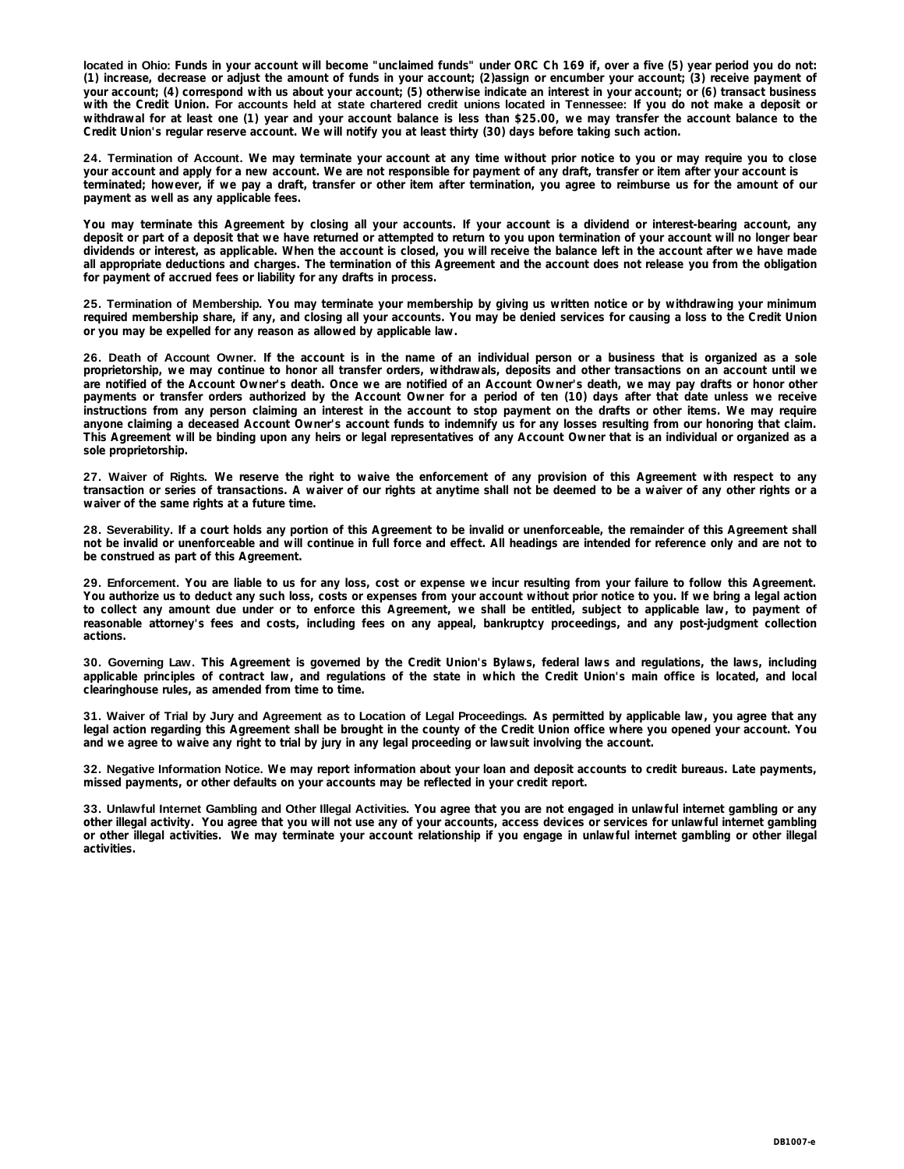located in Ohio: Funds in your account will become "unclaimed funds" under ORC Ch 169 if, over a five (5) year period you do not: (1) increase, decrease or adjust the amount of funds in your account; (2)assign or encumber your account; (3) receive payment of your account; (4) correspond with us about your account; (5) otherwise indicate an interest in your account; or (6) transact business with the Credit Union. For accounts held at state chartered credit unions located in Tennessee: If you do not make a deposit or withdrawal for at least one (1) year and your account balance is less than \$25.00, we may transfer the account balance to the **Credit Union's regular reserve account. We will notify you at least thirty (30) days before taking such action.**

24. Termination of Account. We may terminate your account at any time without prior notice to you or may require you to close **your account and apply for a new account. We are not responsible for payment of any draft, transfer or item after your account is** terminated; however, if we pay a draft, transfer or other item after termination, you agree to reimburse us for the amount of our **payment as well as any applicable fees.** 

You may terminate this Agreement by closing all your accounts. If your account is a dividend or interest-bearing account, any deposit or part of a deposit that we have returned or attempted to return to you upon termination of your account will no longer bear dividends or interest, as applicable. When the account is closed, you will receive the balance left in the account after we have made all appropriate deductions and charges. The termination of this Agreement and the account does not release you from the obligation **for payment of accrued fees or liability for any drafts in process.** 

25. Termination of Membership. You may terminate your membership by giving us written notice or by withdrawing your minimum required membership share, if any, and closing all your accounts. You may be denied services for causing a loss to the Credit Union **or you may be expelled for any reason as allowed by applicable law.** 

26. Death of Account Owner. If the account is in the name of an individual person or a business that is organized as a sole proprietorship, we may continue to honor all transfer orders, withdrawals, deposits and other transactions on an account until we are notified of the Account Owner's death. Once we are notified of an Account Owner's death, we may pay drafts or honor other payments or transfer orders authorized by the Account Owner for a period of ten (10) days after that date unless we receive instructions from any person claiming an interest in the account to stop payment on the drafts or other items. We may require anyone claiming a deceased Account Owner's account funds to indemnify us for any losses resulting from our honoring that claim. This Agreement will be binding upon any heirs or legal representatives of any Account Owner that is an individual or organized as a **sole proprietorship.** 

27. Waiver of Rights. We reserve the right to waive the enforcement of any provision of this Agreement with respect to any transaction or series of transactions. A waiver of our rights at anytime shall not be deemed to be a waiver of any other rights or a **waiver of the same rights at a future time.** 

28. Severability. If a court holds any portion of this Agreement to be invalid or unenforceable, the remainder of this Agreement shall not be invalid or unenforceable and will continue in full force and effect. All headings are intended for reference only and are not to **be construed as part of this Agreement.** 

29. Enforcement. You are liable to us for any loss, cost or expense we incur resulting from your failure to follow this Agreement. You authorize us to deduct any such loss, costs or expenses from your account without prior notice to you. If we bring a legal action to collect any amount due under or to enforce this Agreement, we shall be entitled, subject to applicable law, to payment of reasonable attorney's fees and costs, including fees on any appeal, bankruptcy proceedings, and any post-judgment collection **actions.** 

30. Governing Law. This Agreement is governed by the Credit Union's Bylaws, federal laws and regulations, the laws, including applicable principles of contract law, and regulations of the state in which the Credit Union's main office is located, and local **clearinghouse rules, as amended from time to time.** 

31. Waiver of Trial by Jury and Agreement as to Location of Legal Proceedings. As permitted by applicable law, you agree that any legal action regarding this Agreement shall be brought in the county of the Credit Union office where you opened your account. You **and we agree to waive any right to trial by jury in any legal proceeding or lawsuit involving the account.** 

32. Negative Information Notice. We may report information about your loan and deposit accounts to credit bureaus. Late payments, **missed payments, or other defaults on your accounts may be reflected in your credit report.** 

33. Unlawful Internet Gambling and Other Illegal Activities. You agree that you are not engaged in unlawful internet gambling or any other illegal activity. You agree that you will not use any of your accounts, access devices or services for unlawful internet gambling or other illegal activities. We may terminate your account relationship if you engage in unlawful internet gambling or other illegal **activities.**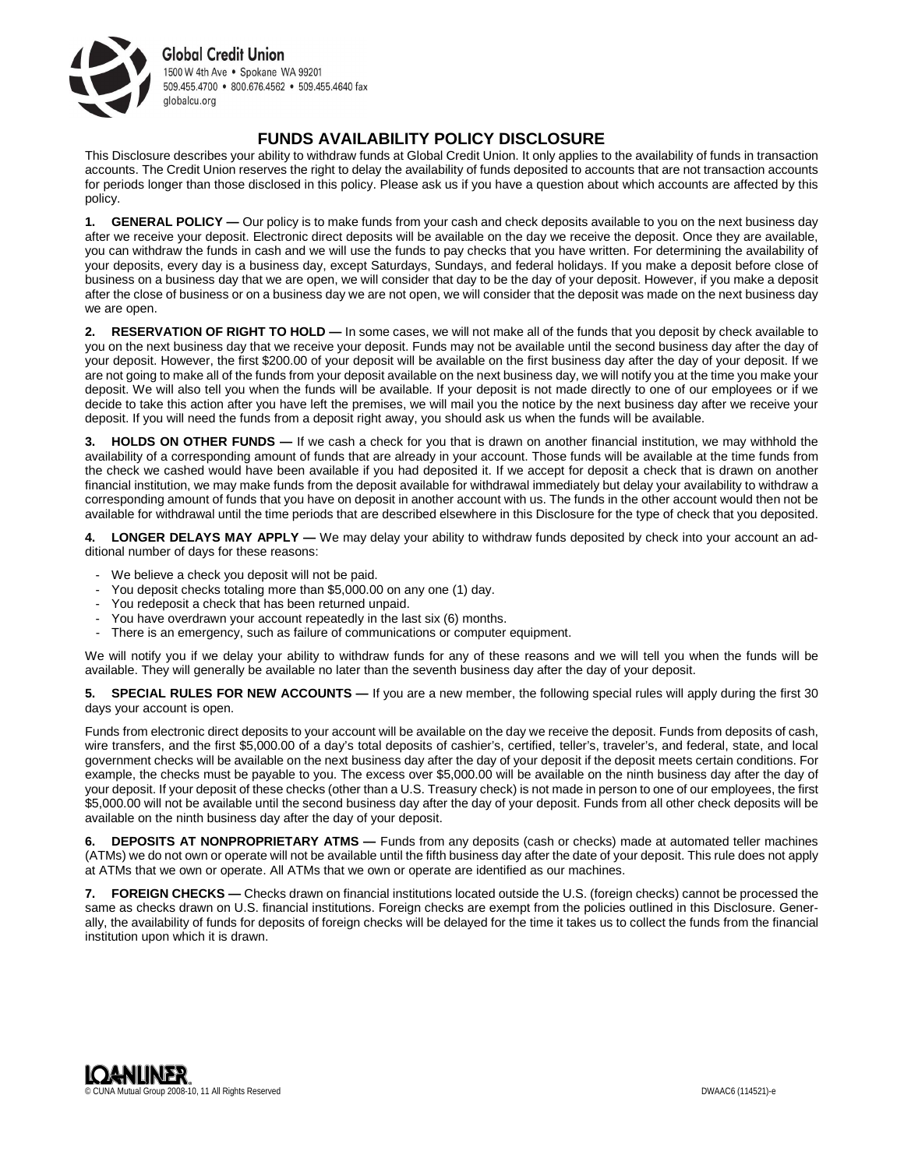

## **FUNDS AVAILABILITY POLICY DISCLOSURE**

This Disclosure describes your ability to withdraw funds at Global Credit Union. It only applies to the availability of funds in transaction accounts. The Credit Union reserves the right to delay the availability of funds deposited to accounts that are not transaction accounts for periods longer than those disclosed in this policy. Please ask us if you have a question about which accounts are affected by this policy.

**1. GENERAL POLICY —** Our policy is to make funds from your cash and check deposits available to you on the next business day after we receive your deposit. Electronic direct deposits will be available on the day we receive the deposit. Once they are available, you can withdraw the funds in cash and we will use the funds to pay checks that you have written. For determining the availability of your deposits, every day is a business day, except Saturdays, Sundays, and federal holidays. If you make a deposit before close of business on a business day that we are open, we will consider that day to be the day of your deposit. However, if you make a deposit after the close of business or on a business day we are not open, we will consider that the deposit was made on the next business day we are open.

**2. RESERVATION OF RIGHT TO HOLD —** In some cases, we will not make all of the funds that you deposit by check available to you on the next business day that we receive your deposit. Funds may not be available until the second business day after the day of your deposit. However, the first \$200.00 of your deposit will be available on the first business day after the day of your deposit. If we are not going to make all of the funds from your deposit available on the next business day, we will notify you at the time you make your deposit. We will also tell you when the funds will be available. If your deposit is not made directly to one of our employees or if we decide to take this action after you have left the premises, we will mail you the notice by the next business day after we receive your deposit. If you will need the funds from a deposit right away, you should ask us when the funds will be available.

**3. HOLDS ON OTHER FUNDS —** If we cash a check for you that is drawn on another financial institution, we may withhold the availability of a corresponding amount of funds that are already in your account. Those funds will be available at the time funds from the check we cashed would have been available if you had deposited it. If we accept for deposit a check that is drawn on another financial institution, we may make funds from the deposit available for withdrawal immediately but delay your availability to withdraw a corresponding amount of funds that you have on deposit in another account with us. The funds in the other account would then not be available for withdrawal until the time periods that are described elsewhere in this Disclosure for the type of check that you deposited.

**4. LONGER DELAYS MAY APPLY —** We may delay your ability to withdraw funds deposited by check into your account an additional number of days for these reasons:

- We believe a check you deposit will not be paid.
- You deposit checks totaling more than \$5,000.00 on any one (1) day.
- You redeposit a check that has been returned unpaid.
- You have overdrawn your account repeatedly in the last six (6) months.
- There is an emergency, such as failure of communications or computer equipment.

We will notify you if we delay your ability to withdraw funds for any of these reasons and we will tell you when the funds will be available. They will generally be available no later than the seventh business day after the day of your deposit.

**5. SPECIAL RULES FOR NEW ACCOUNTS —** If you are a new member, the following special rules will apply during the first 30 days your account is open.

Funds from electronic direct deposits to your account will be available on the day we receive the deposit. Funds from deposits of cash, wire transfers, and the first \$5,000.00 of a day's total deposits of cashier's, certified, teller's, traveler's, and federal, state, and local government checks will be available on the next business day after the day of your deposit if the deposit meets certain conditions. For example, the checks must be payable to you. The excess over \$5,000.00 will be available on the ninth business day after the day of your deposit. If your deposit of these checks (other than a U.S. Treasury check) is not made in person to one of our employees, the first \$5,000.00 will not be available until the second business day after the day of your deposit. Funds from all other check deposits will be available on the ninth business day after the day of your deposit.

**6. DEPOSITS AT NONPROPRIETARY ATMS —** Funds from any deposits (cash or checks) made at automated teller machines (ATMs) we do not own or operate will not be available until the fifth business day after the date of your deposit. This rule does not apply at ATMs that we own or operate. All ATMs that we own or operate are identified as our machines.

**7. FOREIGN CHECKS —** Checks drawn on financial institutions located outside the U.S. (foreign checks) cannot be processed the same as checks drawn on U.S. financial institutions. Foreign checks are exempt from the policies outlined in this Disclosure. Generally, the availability of funds for deposits of foreign checks will be delayed for the time it takes us to collect the funds from the financial institution upon which it is drawn.

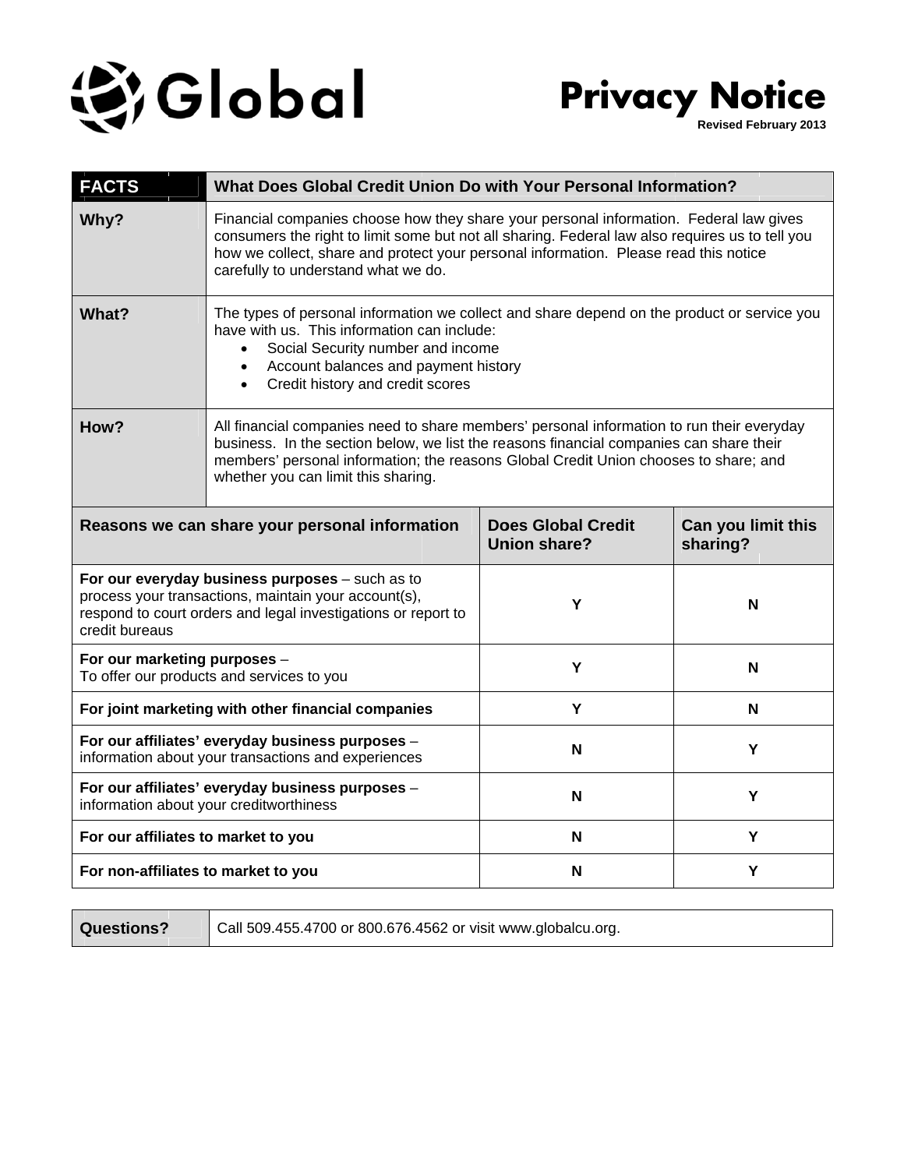

**Pr rivacy y No otice**

> **Revised Fe bruary 2013**

| <b>FACTS</b>                                                                                                                                                                               | What Does Global Credit Union Do with Your Personal Information?                                                                                                                                                                                                                                                         |                                                  |                                |
|--------------------------------------------------------------------------------------------------------------------------------------------------------------------------------------------|--------------------------------------------------------------------------------------------------------------------------------------------------------------------------------------------------------------------------------------------------------------------------------------------------------------------------|--------------------------------------------------|--------------------------------|
| Why?                                                                                                                                                                                       | Financial companies choose how they share your personal information. Federal law gives<br>consumers the right to limit some but not all sharing. Federal law also requires us to tell you<br>how we collect, share and protect your personal information. Please read this notice<br>carefully to understand what we do. |                                                  |                                |
| What?                                                                                                                                                                                      | The types of personal information we collect and share depend on the product or service you<br>have with us. This information can include:<br>Social Security number and income<br>$\bullet$<br>Account balances and payment history<br>$\bullet$<br>Credit history and credit scores                                    |                                                  |                                |
| How?                                                                                                                                                                                       | All financial companies need to share members' personal information to run their everyday<br>business. In the section below, we list the reasons financial companies can share their<br>members' personal information; the reasons Global Credit Union chooses to share; and<br>whether you can limit this sharing.      |                                                  |                                |
| Reasons we can share your personal information                                                                                                                                             |                                                                                                                                                                                                                                                                                                                          | <b>Does Global Credit</b><br><b>Union share?</b> | Can you limit this<br>sharing? |
| For our everyday business purposes - such as to<br>process your transactions, maintain your account(s),<br>respond to court orders and legal investigations or report to<br>credit bureaus |                                                                                                                                                                                                                                                                                                                          | Υ                                                | N                              |
| For our marketing purposes -<br>To offer our products and services to you                                                                                                                  |                                                                                                                                                                                                                                                                                                                          | Y                                                | N                              |
| For joint marketing with other financial companies                                                                                                                                         |                                                                                                                                                                                                                                                                                                                          | Y                                                | N                              |
| For our affiliates' everyday business purposes -<br>information about your transactions and experiences                                                                                    |                                                                                                                                                                                                                                                                                                                          | N                                                | Y                              |
| For our affiliates' everyday business purposes -<br>information about your creditworthiness                                                                                                |                                                                                                                                                                                                                                                                                                                          | N                                                | Y                              |
| For our affiliates to market to you                                                                                                                                                        |                                                                                                                                                                                                                                                                                                                          | N                                                | Y                              |
| For non-affiliates to market to you                                                                                                                                                        |                                                                                                                                                                                                                                                                                                                          | N                                                | Y                              |

**Q Questions?**

Call 509.455.4700 or 800.676.4562 or visit www.globalcu.org.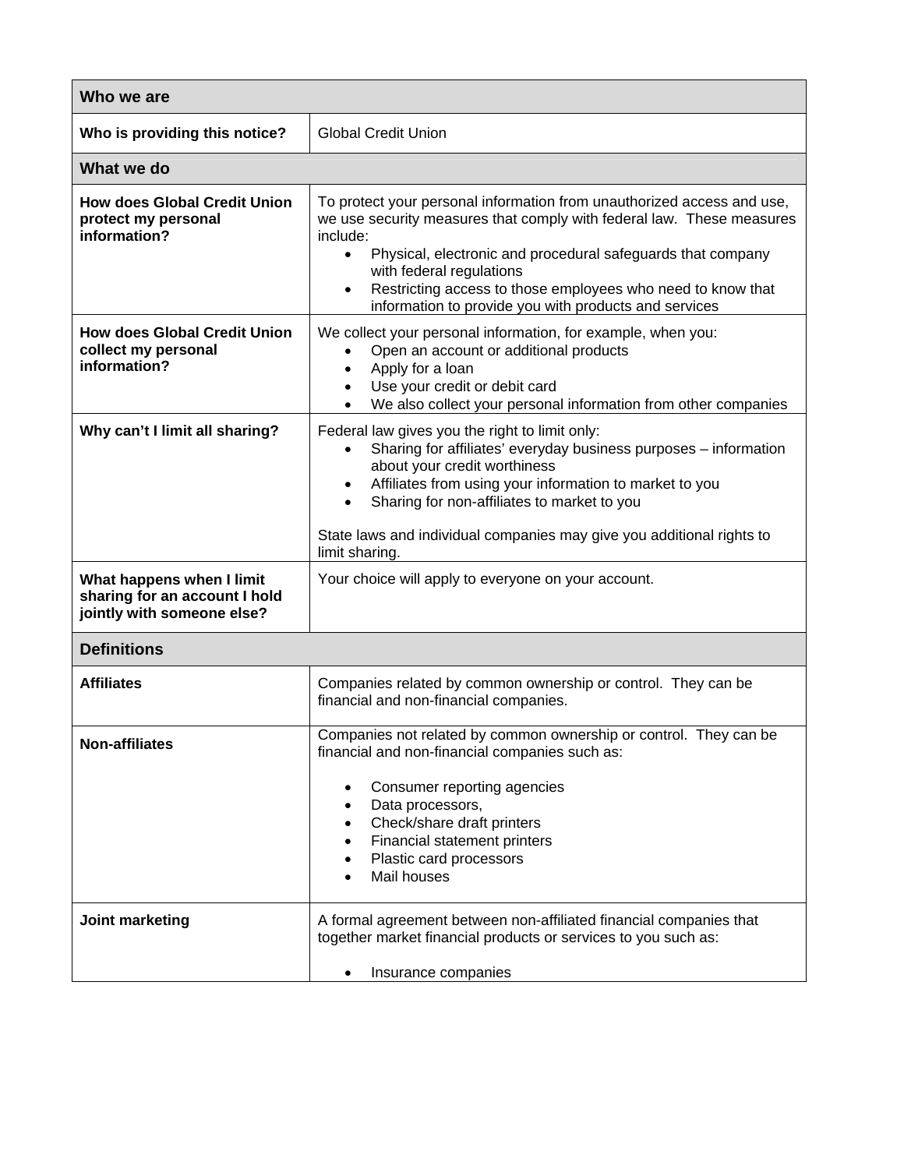| Who we are                                                                               |                                                                                                                                                                                                                                                                                                                                                                                                          |  |
|------------------------------------------------------------------------------------------|----------------------------------------------------------------------------------------------------------------------------------------------------------------------------------------------------------------------------------------------------------------------------------------------------------------------------------------------------------------------------------------------------------|--|
| Who is providing this notice?                                                            | <b>Global Credit Union</b>                                                                                                                                                                                                                                                                                                                                                                               |  |
| What we do                                                                               |                                                                                                                                                                                                                                                                                                                                                                                                          |  |
| <b>How does Global Credit Union</b><br>protect my personal<br>information?               | To protect your personal information from unauthorized access and use,<br>we use security measures that comply with federal law. These measures<br>include:<br>Physical, electronic and procedural safeguards that company<br>$\bullet$<br>with federal regulations<br>Restricting access to those employees who need to know that<br>$\bullet$<br>information to provide you with products and services |  |
| <b>How does Global Credit Union</b><br>collect my personal<br>information?               | We collect your personal information, for example, when you:<br>Open an account or additional products<br>$\bullet$<br>Apply for a loan<br>$\bullet$<br>Use your credit or debit card<br>$\bullet$<br>We also collect your personal information from other companies<br>$\bullet$                                                                                                                        |  |
| Why can't I limit all sharing?                                                           | Federal law gives you the right to limit only:<br>Sharing for affiliates' everyday business purposes - information<br>$\bullet$<br>about your credit worthiness<br>Affiliates from using your information to market to you<br>$\bullet$<br>Sharing for non-affiliates to market to you<br>$\bullet$<br>State laws and individual companies may give you additional rights to<br>limit sharing.           |  |
| What happens when I limit<br>sharing for an account I hold<br>jointly with someone else? | Your choice will apply to everyone on your account.                                                                                                                                                                                                                                                                                                                                                      |  |
| <b>Definitions</b>                                                                       |                                                                                                                                                                                                                                                                                                                                                                                                          |  |
| <b>Affiliates</b>                                                                        | Companies related by common ownership or control. They can be<br>financial and non-financial companies.                                                                                                                                                                                                                                                                                                  |  |
| Non-affiliates                                                                           | Companies not related by common ownership or control. They can be<br>financial and non-financial companies such as:<br>Consumer reporting agencies<br>$\bullet$<br>Data processors,<br>Check/share draft printers<br>$\bullet$<br>Financial statement printers<br>Plastic card processors<br>Mail houses                                                                                                 |  |
| Joint marketing                                                                          | A formal agreement between non-affiliated financial companies that<br>together market financial products or services to you such as:<br>Insurance companies                                                                                                                                                                                                                                              |  |